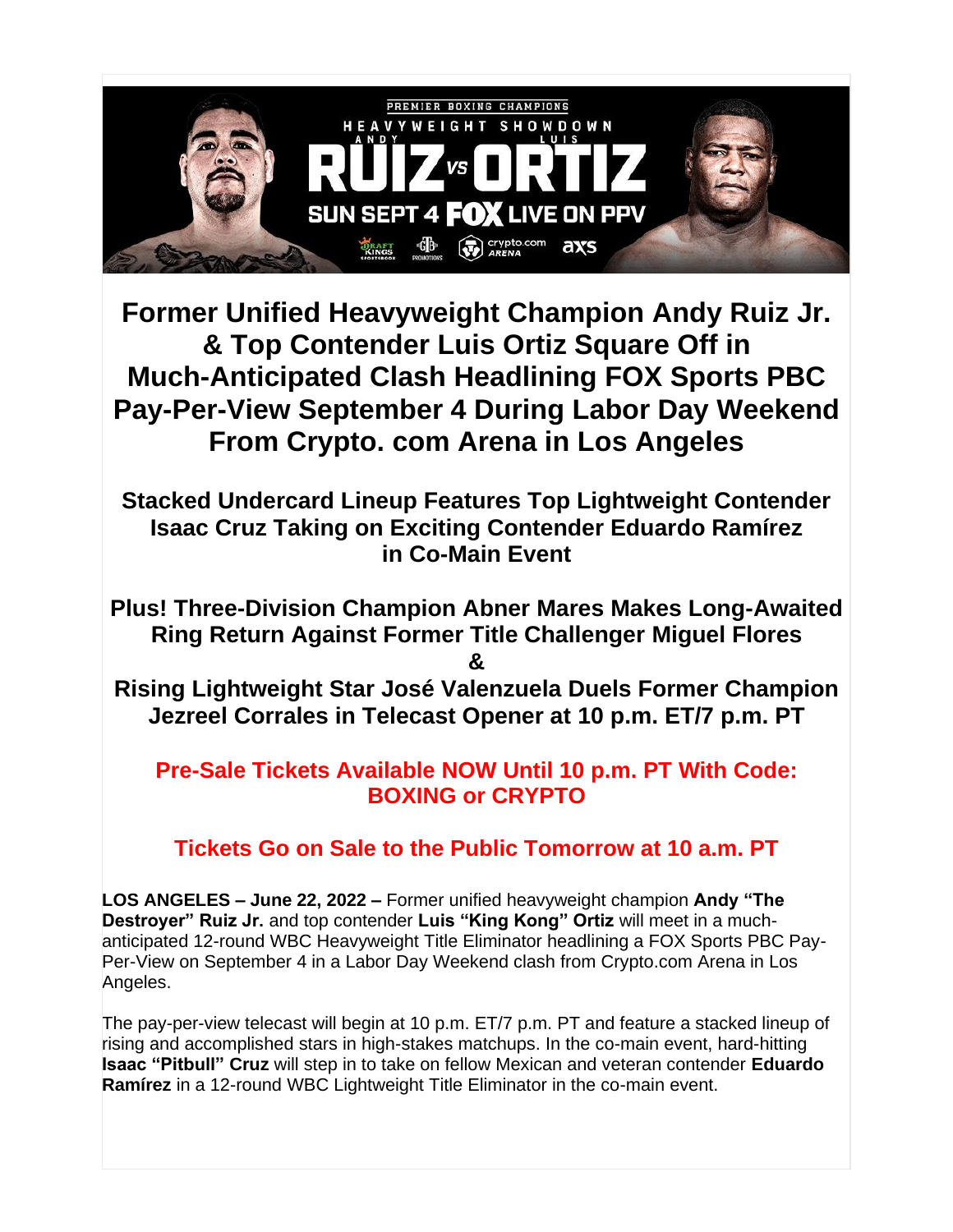

**Former Unified Heavyweight Champion Andy Ruiz Jr. & Top Contender Luis Ortiz Square Off in Much-Anticipated Clash Headlining FOX Sports PBC Pay-Per-View September 4 During Labor Day Weekend From Crypto. com Arena in Los Angeles**

**Stacked Undercard Lineup Features Top Lightweight Contender Isaac Cruz Taking on Exciting Contender Eduardo Ramírez in Co-Main Event**

**Plus! Three-Division Champion Abner Mares Makes Long-Awaited Ring Return Against Former Title Challenger Miguel Flores &**

**Rising Lightweight Star José Valenzuela Duels Former Champion Jezreel Corrales in Telecast Opener at 10 p.m. ET/7 p.m. PT**

**Pre-Sale Tickets Available NOW Until 10 p.m. PT With Code: BOXING or CRYPTO**

**Tickets Go on Sale to the Public Tomorrow at 10 a.m. PT**

**LOS ANGELES – June 22, 2022 –** Former unified heavyweight champion **Andy "The Destroyer" Ruiz Jr.** and top contender **Luis "King Kong" Ortiz** will meet in a muchanticipated 12-round WBC Heavyweight Title Eliminator headlining a FOX Sports PBC Pay-Per-View on September 4 in a Labor Day Weekend clash from Crypto.com Arena in Los Angeles.

The pay-per-view telecast will begin at 10 p.m. ET/7 p.m. PT and feature a stacked lineup of rising and accomplished stars in high-stakes matchups. In the co-main event, hard-hitting **Isaac "Pitbull" Cruz** will step in to take on fellow Mexican and veteran contender **Eduardo Ramírez** in a 12-round WBC Lightweight Title Eliminator in the co-main event.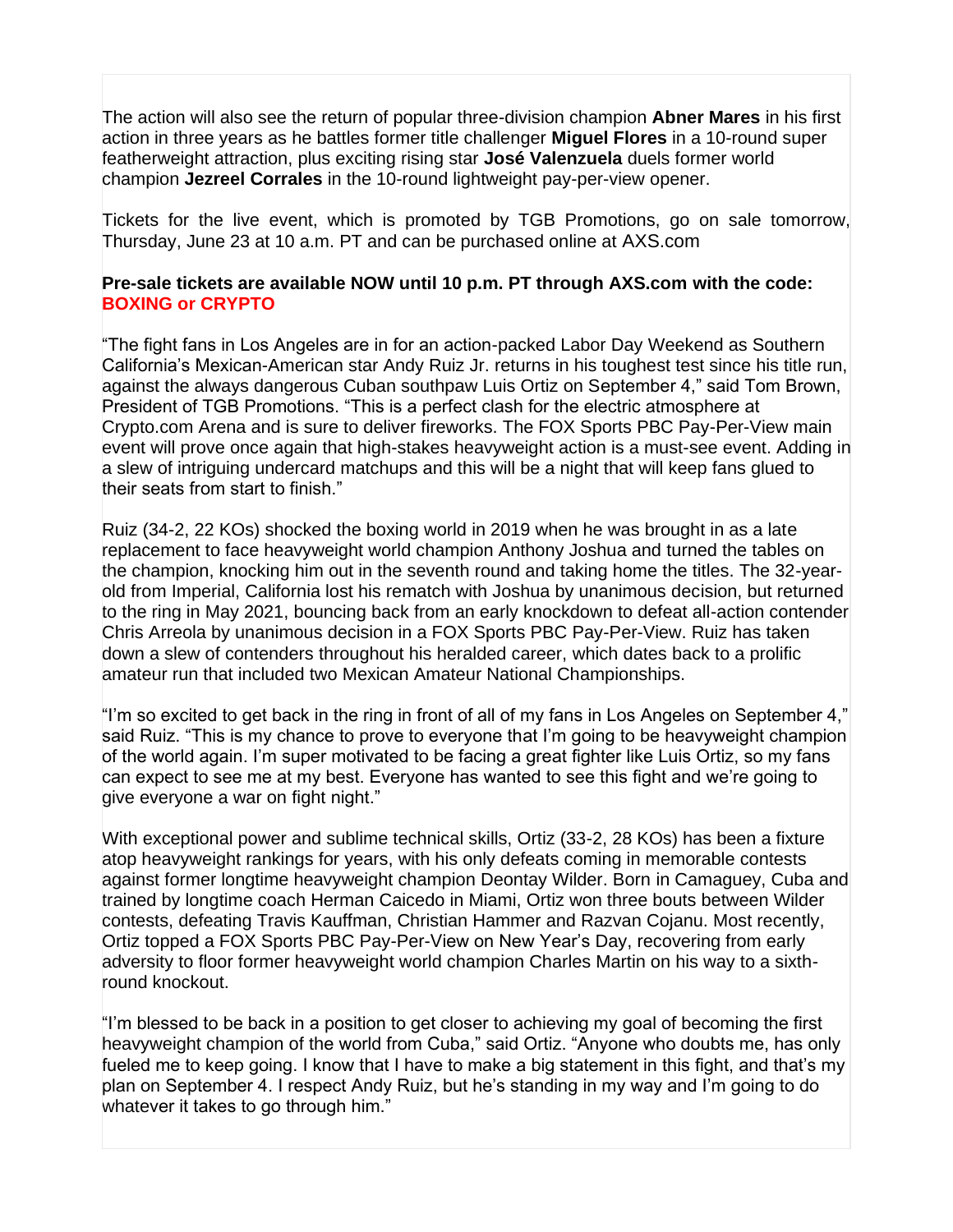The action will also see the return of popular three-division champion **Abner Mares** in his first action in three years as he battles former title challenger **Miguel Flores** in a 10-round super featherweight attraction, plus exciting rising star **José Valenzuela** duels former world champion **Jezreel Corrales** in the 10-round lightweight pay-per-view opener.

Tickets for the live event, which is promoted by TGB Promotions, go on sale tomorrow, Thursday, June 23 at 10 a.m. PT and can be purchased online at AXS.com

## **Pre-sale tickets are available NOW until 10 p.m. PT through AXS.com with the code: BOXING or CRYPTO**

"The fight fans in Los Angeles are in for an action-packed Labor Day Weekend as Southern California's Mexican-American star Andy Ruiz Jr. returns in his toughest test since his title run, against the always dangerous Cuban southpaw Luis Ortiz on September 4," said Tom Brown, President of TGB Promotions. "This is a perfect clash for the electric atmosphere at Crypto.com Arena and is sure to deliver fireworks. The FOX Sports PBC Pay-Per-View main event will prove once again that high-stakes heavyweight action is a must-see event. Adding in a slew of intriguing undercard matchups and this will be a night that will keep fans glued to their seats from start to finish."

Ruiz (34-2, 22 KOs) shocked the boxing world in 2019 when he was brought in as a late replacement to face heavyweight world champion Anthony Joshua and turned the tables on the champion, knocking him out in the seventh round and taking home the titles. The 32-yearold from Imperial, California lost his rematch with Joshua by unanimous decision, but returned to the ring in May 2021, bouncing back from an early knockdown to defeat all-action contender Chris Arreola by unanimous decision in a FOX Sports PBC Pay-Per-View. Ruiz has taken down a slew of contenders throughout his heralded career, which dates back to a prolific amateur run that included two Mexican Amateur National Championships.

"I'm so excited to get back in the ring in front of all of my fans in Los Angeles on September 4," said Ruiz. "This is my chance to prove to everyone that I'm going to be heavyweight champion of the world again. I'm super motivated to be facing a great fighter like Luis Ortiz, so my fans can expect to see me at my best. Everyone has wanted to see this fight and we're going to give everyone a war on fight night."

With exceptional power and sublime technical skills, Ortiz (33-2, 28 KOs) has been a fixture atop heavyweight rankings for years, with his only defeats coming in memorable contests against former longtime heavyweight champion Deontay Wilder. Born in Camaguey, Cuba and trained by longtime coach Herman Caicedo in Miami, Ortiz won three bouts between Wilder contests, defeating Travis Kauffman, Christian Hammer and Razvan Cojanu. Most recently, Ortiz topped a FOX Sports PBC Pay-Per-View on New Year's Day, recovering from early adversity to floor former heavyweight world champion Charles Martin on his way to a sixthround knockout.

"I'm blessed to be back in a position to get closer to achieving my goal of becoming the first heavyweight champion of the world from Cuba," said Ortiz. "Anyone who doubts me, has only fueled me to keep going. I know that I have to make a big statement in this fight, and that's my plan on September 4. I respect Andy Ruiz, but he's standing in my way and I'm going to do whatever it takes to go through him."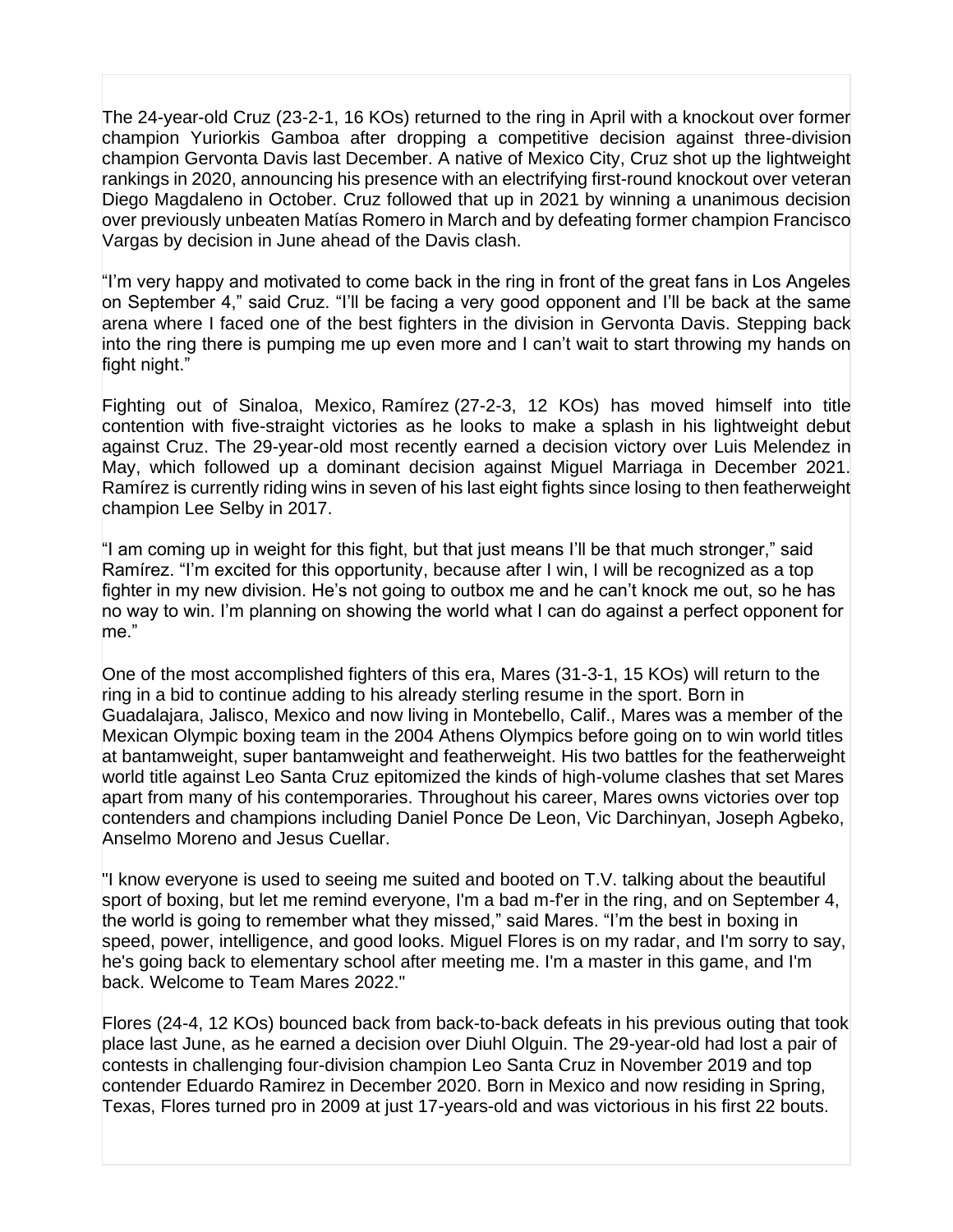The 24-year-old Cruz (23-2-1, 16 KOs) returned to the ring in April with a knockout over former champion Yuriorkis Gamboa after dropping a competitive decision against three-division champion Gervonta Davis last December. A native of Mexico City, Cruz shot up the lightweight rankings in 2020, announcing his presence with an electrifying first-round knockout over veteran Diego Magdaleno in October. Cruz followed that up in 2021 by winning a unanimous decision over previously unbeaten Matías Romero in March and by defeating former champion Francisco Vargas by decision in June ahead of the Davis clash.

"I'm very happy and motivated to come back in the ring in front of the great fans in Los Angeles on September 4," said Cruz. "I'll be facing a very good opponent and I'll be back at the same arena where I faced one of the best fighters in the division in Gervonta Davis. Stepping back into the ring there is pumping me up even more and I can't wait to start throwing my hands on fight night."

Fighting out of Sinaloa, Mexico, Ramírez (27-2-3, 12 KOs) has moved himself into title contention with five-straight victories as he looks to make a splash in his lightweight debut against Cruz. The 29-year-old most recently earned a decision victory over Luis Melendez in May, which followed up a dominant decision against Miguel Marriaga in December 2021. Ramírez is currently riding wins in seven of his last eight fights since losing to then featherweight champion Lee Selby in 2017.

"I am coming up in weight for this fight, but that just means I'll be that much stronger," said Ramírez. "I'm excited for this opportunity, because after I win, I will be recognized as a top fighter in my new division. He's not going to outbox me and he can't knock me out, so he has no way to win. I'm planning on showing the world what I can do against a perfect opponent for me."

One of the most accomplished fighters of this era, Mares (31-3-1, 15 KOs) will return to the ring in a bid to continue adding to his already sterling resume in the sport. Born in Guadalajara, Jalisco, Mexico and now living in Montebello, Calif., Mares was a member of the Mexican Olympic boxing team in the 2004 Athens Olympics before going on to win world titles at bantamweight, super bantamweight and featherweight. His two battles for the featherweight world title against Leo Santa Cruz epitomized the kinds of high-volume clashes that set Mares apart from many of his contemporaries. Throughout his career, Mares owns victories over top contenders and champions including Daniel Ponce De Leon, Vic Darchinyan, Joseph Agbeko, Anselmo Moreno and Jesus Cuellar.

"I know everyone is used to seeing me suited and booted on T.V. talking about the beautiful sport of boxing, but let me remind everyone, I'm a bad m-f'er in the ring, and on September 4, the world is going to remember what they missed," said Mares. "I'm the best in boxing in speed, power, intelligence, and good looks. Miguel Flores is on my radar, and I'm sorry to say, he's going back to elementary school after meeting me. I'm a master in this game, and I'm back. Welcome to Team Mares 2022."

Flores (24-4, 12 KOs) bounced back from back-to-back defeats in his previous outing that took place last June, as he earned a decision over Diuhl Olguin. The 29-year-old had lost a pair of contests in challenging four-division champion Leo Santa Cruz in November 2019 and top contender Eduardo Ramirez in December 2020. Born in Mexico and now residing in Spring, Texas, Flores turned pro in 2009 at just 17-years-old and was victorious in his first 22 bouts.